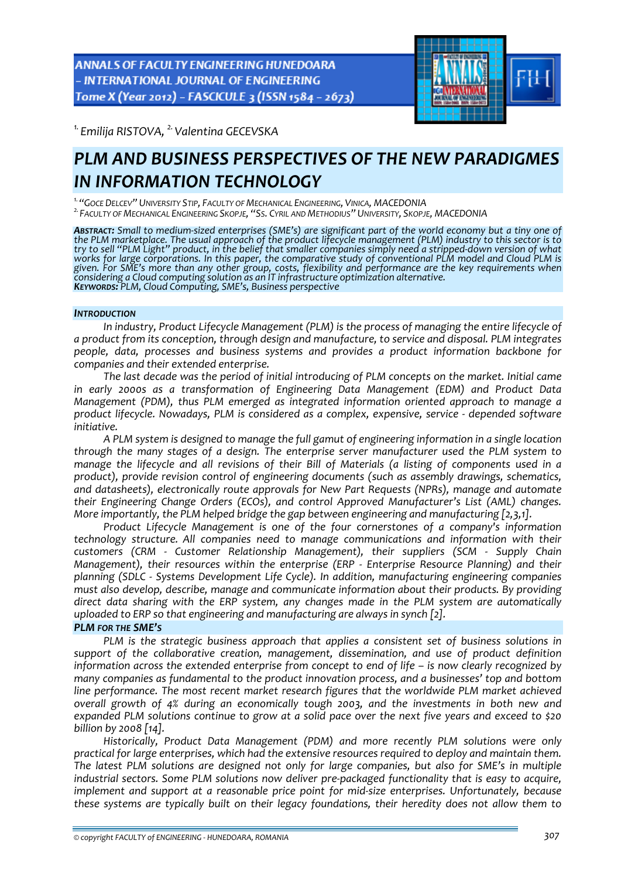

*1. Emilija RISTOVA, 2.Valentina GECEVSKA* 

# *PLM AND BUSINESS PERSPECTIVES OF THE NEW PARADIGMES IN INFORMATION TECHNOLOGY*

<sup>1.</sup> "Goce Delcev" University Stip, Faculty of Mechanical Engineering, Vinica, MACEDONIA<br><sup>2.</sup> Faculty of Mechanical Engineering Skopje, "Ss. Cyril and Methodius" University, Skopje, MACEDONIA

**Abstract:** Small to medium-sized enterprises (SME's) are significant part of the world economy but a tiny one of<br>the PLM marketplace. The usual approach of the product lifecycle management (PLM) industry to this sector is try to sell "PLM Light" product, in the belief that smaller companies simply need a stripped-down version of what works for large corporations. In this paper, the comparative study of conventional PLM model and Cloud PLM is given. For SME's more than any other group, costs, flexibility and performance are the key requirements when considering a Cloud computing solution as an IT infrastructure optimization alternative.<br>KEYWORDS: PLM, Cloud Computing, SME's, Business perspective

#### *INTRODUCTION*

*In industry, Product Lifecycle Management (PLM) is the process of managing the entire lifecycle of a product from its conception, through design and manufacture, to service and disposal. PLM integrates people, data, processes and business systems and provides a product information backbone for companies and their extended enterprise.* 

*The last decade was the period of initial introducing of PLM concepts on the market. Initial came in early 2000s as a transformation of Engineering Data Management (EDM) and Product Data Management (PDM), thus PLM emerged as integrated information oriented approach to manage a product lifecycle. Nowadays, PLM is considered as a complex, expensive, service ‐ depended software initiative.* 

*A PLM system is designed to manage the full gamut of engineering information in a single location through the many stages of a design. The enterprise server manufacturer used the PLM system to* manage the lifecycle and all revisions of their Bill of Materials (a listing of components used in a *product), provide revision control of engineering documents (such as assembly drawings, schematics, and datasheets), electronically route approvals for New Part Requests (NPRs), manage and automate their Engineering Change Orders (ECOs), and control Approved Manufacturer's List (AML) changes. More importantly, the PLM helped bridge the gap between engineering and manufacturing [2,3,1].* 

*Product Lifecycle Management is one of the four cornerstones of a company's information technology structure. All companies need to manage communications and information with their customers (CRM ‐ Customer Relationship Management), their suppliers (SCM ‐ Supply Chain Management), their resources within the enterprise (ERP ‐ Enterprise Resource Planning) and their planning (SDLC ‐ Systems Development Life Cycle). In addition, manufacturing engineering companies must also develop, describe, manage and communicate information about their products. By providing direct data sharing with the ERP system, any changes made in the PLM system are automatically uploaded to ERP so that engineering and manufacturing are always in synch [2].*

#### *PLM FOR THE SME'S*

*PLM is the strategic business approach that applies a consistent set of business solutions in support of the collaborative creation, management, dissemination, and use of product definition information across the extended enterprise from concept to end of life – is now clearly recognized by many companies as fundamental to the product innovation process, and a businesses' top and bottom line performance. The most recent market research figures that the worldwide PLM market achieved overall growth of 4% during an economically tough 2003, and the investments in both new and* expanded PLM solutions continue to grow at a solid pace over the next five years and exceed to \$20 *billion by 2008 [14].* 

*Historically, Product Data Management (PDM) and more recently PLM solutions were only practical for large enterprises, which had the extensive resources required to deploy and maintain them. The latest PLM solutions are designed not only for large companies, but also for SME's in multiple industrial sectors. Some PLM solutions now deliver pre‐packaged functionality that is easy to acquire, implement and support at a reasonable price point for mid‐size enterprises. Unfortunately, because these systems are typically built on their legacy foundations, their heredity does not allow them to*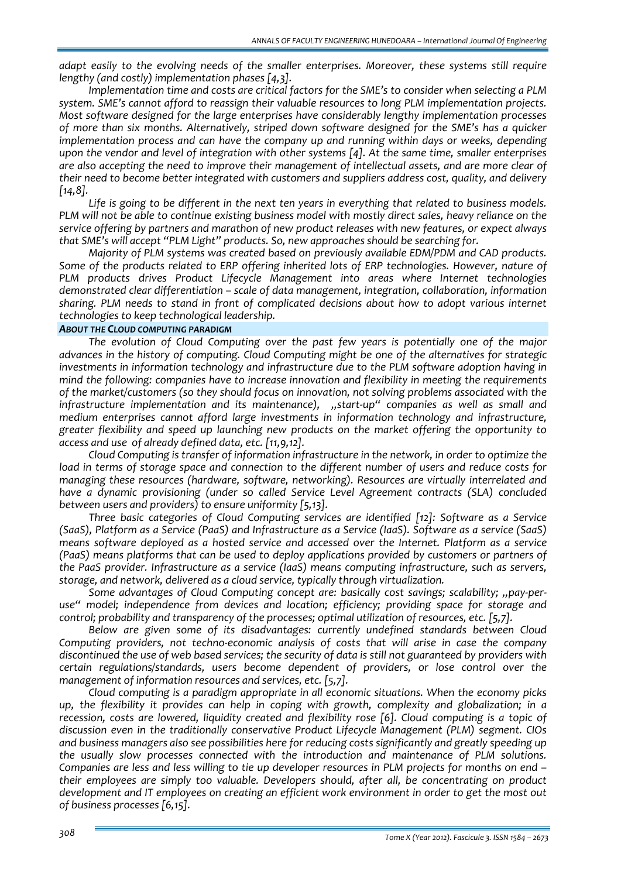*adapt easily to the evolving needs of the smaller enterprises. Moreover, these systems still require lengthy (and costly) implementation phases [4,3].* 

*Implementation time and costs are critical factors for the SME's to consider when selecting a PLM system. SME's cannot afford to reassign their valuable resources to long PLM implementation projects. Most software designed for the large enterprises have considerably lengthy implementation processes of more than six months. Alternatively, striped down software designed for the SME's has a quicker implementation process and can have the company up and running within days or weeks, depending upon the vendor and level of integration with other systems [4]. At the same time, smaller enterprises are also accepting the need to improve their management of intellectual assets, and are more clear of their need to become better integrated with customers and suppliers address cost, quality, and delivery [14,8].* 

*Life is going to be different in the next ten years in everything that related to business models.* PLM will not be able to continue existing business model with mostly direct sales, heavy reliance on the *service offering by partners and marathon of new product releases with new features, or expect always that SME's will accept "PLM Light" products. So, new approaches should be searching for.*

*Majority of PLM systems was created based on previously available EDM/PDM and CAD products. Some of the products related to ERP offering inherited lots of ERP technologies. However, nature of PLM products drives Product Lifecycle Management into areas where Internet technologies demonstrated clear differentiation – scale of data management, integration, collaboration, information sharing. PLM needs to stand in front of complicated decisions about how to adopt various internet technologies to keep technological leadership.*

#### *ABOUT THE CLOUD COMPUTING PARADIGM*

*The evolution of Cloud Computing over the past few years is potentially one of the major advances in the history of computing. Cloud Computing might be one of the alternatives for strategic investments in information technology and infrastructure due to the PLM software adoption having in mind the following: companies have to increase innovation and flexibility in meeting the requirements of the market/customers (so they should focus on innovation, not solving problems associated with the infrastructure implementation and its maintenance), "start‐up" companies as well as small and medium enterprises cannot afford large investments in information technology and infrastructure, greater flexibility and speed up launching new products on the market offering the opportunity to access and use of already defined data, etc. [11,9,12].* 

*Cloud Computing is transfer of information infrastructure in the network, in order to optimize the* load in terms of storage space and connection to the different number of users and reduce costs for *managing these resources (hardware, software, networking). Resources are virtually interrelated and have a dynamic provisioning (under so called Service Level Agreement contracts (SLA) concluded between users and providers) to ensure uniformity [5,13].* 

*Three basic categories of Cloud Computing services are identified [12]: Software as a Service (SaaS), Platform as a Service (PaaS) and Infrastructure as a Service (IaaS). Software as a service (SaaS) means software deployed as a hosted service and accessed over the Internet. Platform as a service (PaaS) means platforms that can be used to deploy applications provided by customers or partners of the PaaS provider. Infrastructure as a service (IaaS) means computing infrastructure, such as servers, storage, and network, delivered as a cloud service, typically through virtualization.*

*Some advantages of Cloud Computing concept are: basically cost savings; scalability; "pay‐per‐ use" model; independence from devices and location; efficiency; providing space for storage and control; probability and transparency of the processes; optimal utilization of resources, etc. [5,7].*

*Below are given some of its disadvantages: currently undefined standards between Cloud Computing providers, not techno‐economic analysis of costs that will arise in case the company* discontinued the use of web based services; the security of data is still not guaranteed by providers with *certain regulations/standards, users become dependent of providers, or lose control over the management of information resources and services, etc. [5,7].*

*Cloud computing is a paradigm appropriate in all economic situations. When the economy picks up, the flexibility it provides can help in coping with growth, complexity and globalization; in a recession, costs are lowered, liquidity created and flexibility rose [6]. Cloud computing is a topic of discussion even in the traditionally conservative Product Lifecycle Management (PLM) segment. CIOs and business managers also see possibilities here for reducing costs significantly and greatly speeding up the usually slow processes connected with the introduction and maintenance of PLM solutions.* Companies are less and less willing to tie up developer resources in PLM projects for months on end *their employees are simply too valuable. Developers should, after all, be concentrating on product development and IT employees on creating an efficient work environment in order to get the most out of business processes [6,15].*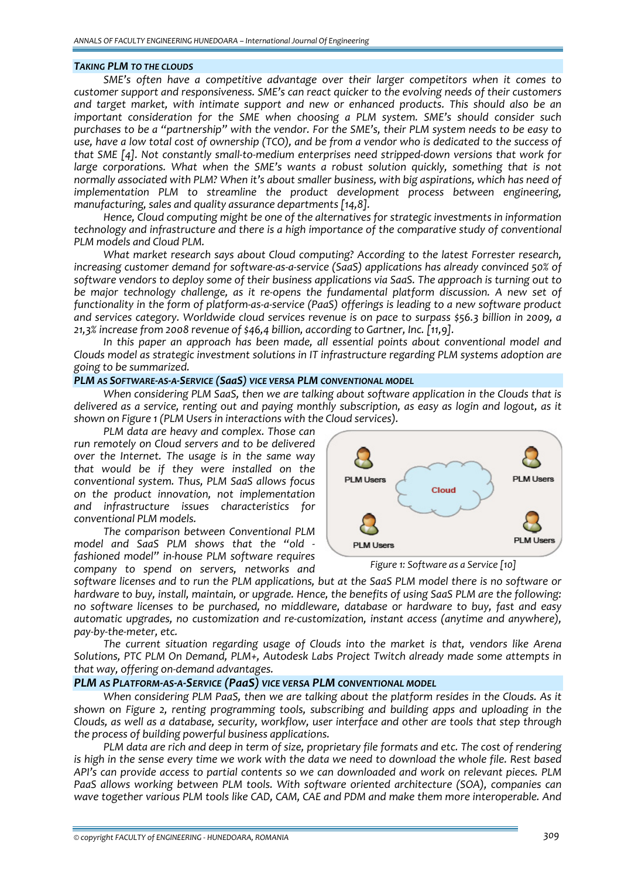#### *TAKING PLM TO THE CLOUDS*

*SME's often have a competitive advantage over their larger competitors when it comes to customer support and responsiveness. SME's can react quicker to the evolving needs of their customers and target market, with intimate support and new or enhanced products. This should also be an important consideration for the SME when choosing a PLM system. SME's should consider such* purchases to be a "partnership" with the vendor. For the SME's, their PLM system needs to be easy to use, have a low total cost of ownership (TCO), and be from a vendor who is dedicated to the success of that SME [4]. Not constantly small-to-medium enterprises need stripped-down versions that work for *large corporations. What when the SME's wants a robust solution quickly, something that is not normally associated with PLM? When it's about smaller business, with big aspirations, which has need of implementation PLM to streamline the product development process between engineering, manufacturing, sales and quality assurance departments [14,8].* 

*Hence, Cloud computing might be one of the alternatives for strategic investments in information technology and infrastructure and there is a high importance of the comparative study of conventional PLM models and Cloud PLM.*

*What market research says about Cloud computing? According to the latest Forrester research,* increasing customer demand for software-as-a-service (SaaS) applications has already convinced 50% of *software vendors to deploy some of their business applications via SaaS. The approach is turning out to be major technology challenge, as it re‐opens the fundamental platform discussion. A new set of* functionality in the form of platform-as-a-service (PaaS) offerings is leading to a new software product *and services category. Worldwide cloud services revenue is on pace to surpass \$56.3 billion in 2009, a 21,3% increase from 2008 revenue of \$46,4 billion, according to Gartner, Inc. [11,9].* 

*In this paper an approach has been made, all essential points about conventional model and Clouds model as strategic investment solutions in IT infrastructure regarding PLM systems adoption are going to be summarized.*

#### *PLM AS SOFTWARE‐AS‐A‐SERVICE (SaaS) VICE VERSA PLM CONVENTIONAL MODEL*

*When considering PLM SaaS, then we are talking about software application in the Clouds that is* delivered as a service, renting out and paving monthly subscription, as easy as login and logout, as it *shown on Figure 1 (PLM Users in interactions with the Cloud services).* 

*PLM data are heavy and complex. Those can run remotely on Cloud servers and to be delivered over the Internet. The usage is in the same way that would be if they were installed on the conventional system. Thus, PLM SaaS allows focus on the product innovation, not implementation and infrastructure issues characteristics for conventional PLM models.*

*The comparison between Conventional PLM model and SaaS PLM shows that the "old ‐ fashioned model" in‐house PLM software requires company to spend on servers, networks and*



*Figure 1: Software as a Service [10]*

software licenses and to run the PLM applications, but at the SaaS PLM model there is no software or *hardware to buy, install, maintain, or upgrade. Hence, the benefits of using SaaS PLM are the following: no software licenses to be purchased, no middleware, database or hardware to buy, fast and easy automatic upgrades, no customization and re‐customization, instant access (anytime and anywhere), pay‐by‐the‐meter, etc.*

*The current situation regarding usage of Clouds into the market is that, vendors like Arena Solutions, PTC PLM On Demand, PLM+, Autodesk Labs Project Twitch already made some attempts in that way, offering on‐demand advantages.*

### *PLM AS PLATFORM‐AS‐A‐SERVICE (PaaS) VICE VERSA PLM CONVENTIONAL MODEL*

*When considering PLM PaaS, then we are talking about the platform resides in the Clouds. As it shown on Figure 2, renting programming tools, subscribing and building apps and uploading in the Clouds, as well as a database, security, workflow, user interface and other are tools that step through the process of building powerful business applications.*

PLM data are rich and deep in term of size, proprietary file formats and etc. The cost of rendering is high in the sense every time we work with the data we need to download the whole file. Rest based *API's can provide access to partial contents so we can downloaded and work on relevant pieces. PLM PaaS allows working between PLM tools. With software oriented architecture (SOA), companies can wave together various PLM tools like CAD, CAM, CAE and PDM and make them more interoperable. And*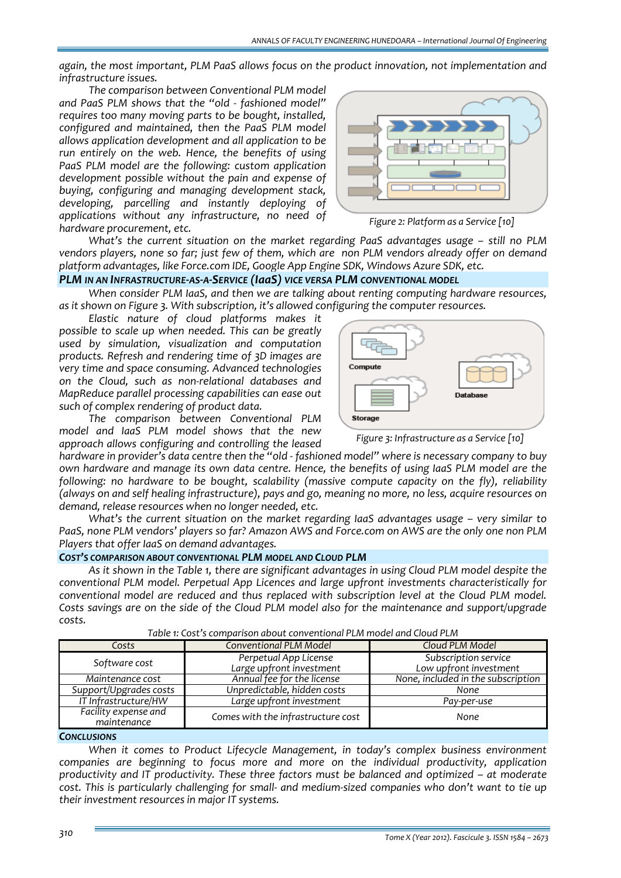*again, the most important, PLM PaaS allows focus on the product innovation, not implementation and infrastructure issues.*

*The comparison between Conventional PLM model and PaaS PLM shows that the "old ‐ fashioned model" requires too many moving parts to be bought, installed, configured and maintained, then the PaaS PLM model allows application development and all application to be run entirely on the web. Hence, the benefits of using PaaS PLM model are the following: custom application development possible without the pain and expense of buying, configuring and managing development stack, developing, parcelling and instantly deploying of applications without any infrastructure, no need of hardware procurement, etc.* 



*Figure 2: Platform as a Service [10]*

*What's the current situation on the market regarding PaaS advantages usage – still no PLM* vendors players, none so far; just few of them, which are non PLM vendors already offer on demand *platform advantages, like Force.com IDE, Google App Engine SDK, Windows Azure SDK, etc.*

## *PLM IN AN INFRASTRUCTURE‐AS‐A‐SERVICE (IaaS) VICE VERSA PLM CONVENTIONAL MODEL*

*When consider PLM IaaS, and then we are talking about renting computing hardware resources, as it shown on Figure 3. With subscription, it's allowed configuring the computer resources.* 

*Elastic nature of cloud platforms makes it possible to scale up when needed. This can be greatly used by simulation, visualization and computation products. Refresh and rendering time of 3D images are very time and space consuming. Advanced technologies on the Cloud, such as non‐relational databases and MapReduce parallel processing capabilities can ease out such of complex rendering of product data.*

*The comparison between Conventional PLM model and IaaS PLM model shows that the new approach allows configuring and controlling the leased*

*hardware in provider's data centre then the "old ‐ fashioned model" where is necessary company to buy own hardware and manage its own data centre. Hence, the benefits of using IaaS PLM model are the following: no hardware to be bought, scalability (massive compute capacity on the fly), reliability (always on and self healing infrastructure), pays and go, meaning no more, no less, acquire resources on demand, release resources when no longer needed, etc.*

*What's the current situation on the market regarding IaaS advantages usage – very similar to* PaaS, none PLM vendors' players so far? Amazon AWS and Force.com on AWS are the only one non PLM *Players that offer IaaS on demand advantages.*

#### *COST'S COMPARISON ABOUT CONVENTIONAL PLM MODEL AND CLOUD PLM*

*As it shown in the Table 1, there are significant advantages in using Cloud PLM model despite the conventional PLM model. Perpetual App Licences and large upfront investments characteristically for conventional model are reduced and thus replaced with subscription level at the Cloud PLM model. Costs savings are on the side of the Cloud PLM model also for the maintenance and support/upgrade costs.*

| Table 1. Cost s comparison about conventional FLM model and Cloud FLM |                                                   |                                                |
|-----------------------------------------------------------------------|---------------------------------------------------|------------------------------------------------|
| Costs                                                                 | <b>Conventional PLM Model</b>                     | Cloud PLM Model                                |
| Software cost                                                         | Perpetual App License<br>Large upfront investment | Subscription service<br>Low upfront investment |
| Maintenance cost                                                      | Annual fee for the license                        | None, included in the subscription             |
| Support/Upgrades costs                                                | Unpredictable, hidden costs                       | None                                           |
| IT Infrastructure/HW                                                  | Large upfront investment                          | Pay-per-use                                    |
| Facility expense and<br>maintenance                                   | Comes with the infrastructure cost                | None                                           |

*Table 1: Cost's comparison about conventional PLM model and Cloud PLM*

#### *CONCLUSIONS*

*When it comes to Product Lifecycle Management, in today's complex business environment companies are beginning to focus more and more on the individual productivity, application productivity and IT productivity. These three factors must be balanced and optimized – at moderate* cost. This is particularly challenging for small- and medium-sized companies who don't want to tie up *their investment resources in major IT systems.*